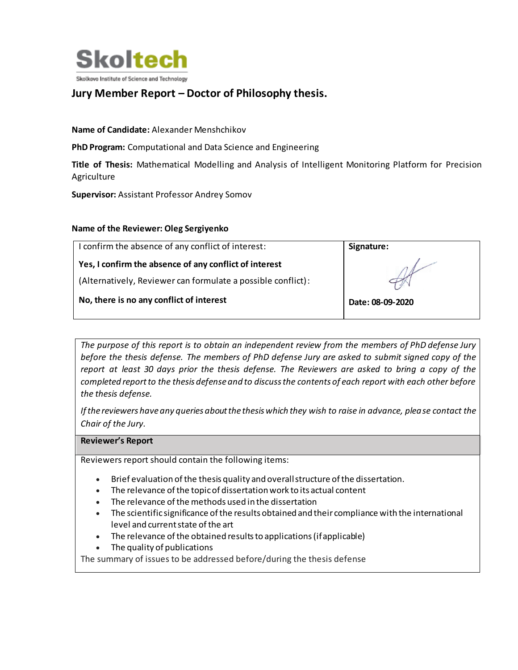

# **Jury Member Report – Doctor of Philosophy thesis.**

#### **Name of Candidate:** Alexander Menshchikov

**PhD Program:** Computational and Data Science and Engineering

**Title of Thesis:** Mathematical Modelling and Analysis of Intelligent Monitoring Platform for Precision Agriculture

**Supervisor:** Assistant Professor Andrey Somov

#### **Name of the Reviewer: Oleg Sergiyenko**

| I confirm the absence of any conflict of interest:           | Signature:       |
|--------------------------------------------------------------|------------------|
| Yes, I confirm the absence of any conflict of interest       |                  |
| (Alternatively, Reviewer can formulate a possible conflict): |                  |
| No, there is no any conflict of interest                     | Date: 08-09-2020 |

*The purpose of this report is to obtain an independent review from the members of PhD defense Jury before the thesis defense. The members of PhD defense Jury are asked to submit signed copy of the report at least 30 days prior the thesis defense. The Reviewers are asked to bring a copy of the completed report to the thesis defense and to discuss the contents of each report with each other before the thesis defense.* 

*If the reviewers have any queries about the thesis which they wish to raise in advance, please contact the Chair of the Jury.*

#### **Reviewer's Report**

Reviewers report should contain the following items:

- Brief evaluation of the thesis quality and overall structure of the dissertation.
- The relevance of the topic of dissertation work to its actual content
- The relevance of the methods used in the dissertation
- The scientific significance of the results obtained and their compliance with the international level and current state of the art
- The relevance of the obtained results to applications (if applicable)
- The quality of publications

The summary of issues to be addressed before/during the thesis defense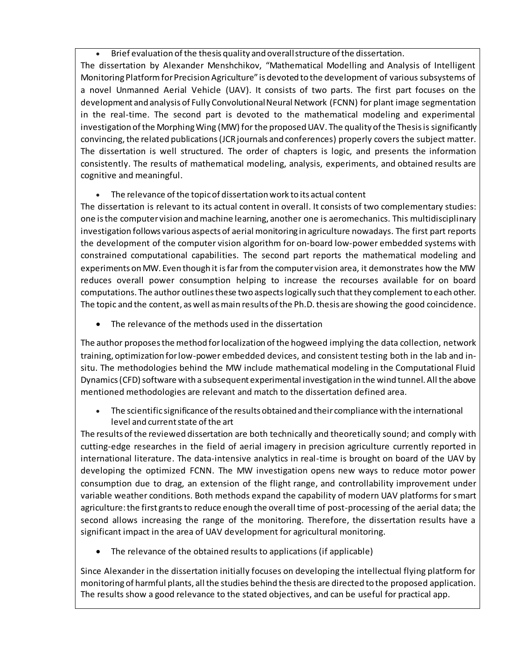Brief evaluation of the thesis quality and overall structure of the dissertation.

The dissertation by Alexander Menshchikov, "Mathematical Modelling and Analysis of Intelligent Monitoring Platform for Precision Agriculture" is devoted to the development of various subsystems of a novel Unmanned Aerial Vehicle (UAV). It consists of two parts. The first part focuses on the development and analysis of Fully Convolutional Neural Network (FCNN) for plant image segmentation in the real-time. The second part is devoted to the mathematical modeling and experimental investigation of the Morphing Wing (MW) for the proposed UAV. The quality of the Thesis is significantly convincing, the related publications (JCRjournals and conferences) properly covers the subject matter. The dissertation is well structured. The order of chapters is logic, and presents the information consistently. The results of mathematical modeling, analysis, experiments, and obtained results are cognitive and meaningful.

## The relevance of the topic of dissertation work to its actual content

The dissertation is relevant to its actual content in overall. It consists of two complementary studies: one is the computer vision and machine learning, another one is aeromechanics. This multidisciplinary investigation follows various aspects of aerial monitoring in agriculture nowadays. The first part reports the development of the computer vision algorithm for on-board low-power embedded systems with constrained computational capabilities. The second part reports the mathematical modeling and experiments on MW. Even though it is far from the computer vision area, it demonstrates how the MW reduces overall power consumption helping to increase the recourses available for on board computations. The author outlines these two aspects logically such that they complement to each other. The topic and the content, as well as main results of the Ph.D. thesis are showing the good coincidence.

The relevance of the methods used in the dissertation

The author proposes the method for localization of the hogweed implying the data collection, network training, optimization for low-power embedded devices, and consistent testing both in the lab and insitu. The methodologies behind the MW include mathematical modeling in the Computational Fluid Dynamics (CFD) software with a subsequent experimental investigation in the wind tunnel. All the above mentioned methodologies are relevant and match to the dissertation defined area.

 The scientific significance of the results obtained and their compliance with the international level and current state of the art

The results of the reviewed dissertation are both technically and theoretically sound; and comply with cutting-edge researches in the field of aerial imagery in precision agriculture currently reported in international literature. The data-intensive analytics in real-time is brought on board of the UAV by developing the optimized FCNN. The MW investigation opens new ways to reduce motor power consumption due to drag, an extension of the flight range, and controllability improvement under variable weather conditions. Both methods expand the capability of modern UAV platforms for smart agriculture: the first grants to reduce enough the overall time of post-processing of the aerial data; the second allows increasing the range of the monitoring. Therefore, the dissertation results have a significant impact in the area of UAV development for agricultural monitoring.

The relevance of the obtained results to applications (if applicable)

Since Alexander in the dissertation initially focuses on developing the intellectual flying platform for monitoring of harmful plants, all the studies behind the thesis are directed to the proposed application. The results show a good relevance to the stated objectives, and can be useful for practical app.